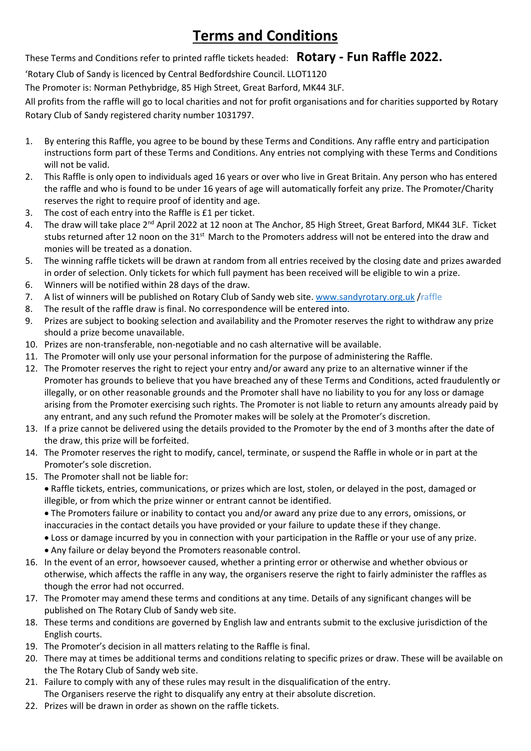# **Terms and Conditions**

These Terms and Conditions refer to printed raffle tickets headed: **Rotary - Fun Raffle 2022.**

'Rotary Club of Sandy is licenced by Central Bedfordshire Council. LLOT1120

The Promoter is: Norman Pethybridge, 85 High Street, Great Barford, MK44 3LF.

All profits from the raffle will go to local charities and not for profit organisations and for charities supported by Rotary Rotary Club of Sandy registered charity number 1031797.

- 1. By entering this Raffle, you agree to be bound by these Terms and Conditions. Any raffle entry and participation instructions form part of these Terms and Conditions. Any entries not complying with these Terms and Conditions will not be valid.
- 2. This Raffle is only open to individuals aged 16 years or over who live in Great Britain. Any person who has entered the raffle and who is found to be under 16 years of age will automatically forfeit any prize. The Promoter/Charity reserves the right to require proof of identity and age.
- 3. The cost of each entry into the Raffle is £1 per ticket.
- 4. The draw will take place 2<sup>nd</sup> April 2022 at 12 noon at The Anchor, 85 High Street, Great Barford, MK44 3LF. Ticket stubs returned after 12 noon on the 31<sup>st</sup> March to the Promoters address will not be entered into the draw and monies will be treated as a donation.
- 5. The winning raffle tickets will be drawn at random from all entries received by the closing date and prizes awarded in order of selection. Only tickets for which full payment has been received will be eligible to win a prize.
- 6. Winners will be notified within 28 days of the draw.
- 7. A list of winners will be published on Rotary Club of Sandy web site. [www.sandyrotary.org.uk](http://www.sandyrotary.org.uk/)/raffle
- 8. The result of the raffle draw is final. No correspondence will be entered into.
- 9. Prizes are subject to booking selection and availability and the Promoter reserves the right to withdraw any prize should a prize become unavailable.
- 10. Prizes are non-transferable, non-negotiable and no cash alternative will be available.
- 11. The Promoter will only use your personal information for the purpose of administering the Raffle.
- 12. The Promoter reserves the right to reject your entry and/or award any prize to an alternative winner if the Promoter has grounds to believe that you have breached any of these Terms and Conditions, acted fraudulently or illegally, or on other reasonable grounds and the Promoter shall have no liability to you for any loss or damage arising from the Promoter exercising such rights. The Promoter is not liable to return any amounts already paid by any entrant, and any such refund the Promoter makes will be solely at the Promoter's discretion.
- 13. If a prize cannot be delivered using the details provided to the Promoter by the end of 3 months after the date of the draw, this prize will be forfeited.
- 14. The Promoter reserves the right to modify, cancel, terminate, or suspend the Raffle in whole or in part at the Promoter's sole discretion.
- 15. The Promoter shall not be liable for:

• Raffle tickets, entries, communications, or prizes which are lost, stolen, or delayed in the post, damaged or illegible, or from which the prize winner or entrant cannot be identified.

• The Promoters failure or inability to contact you and/or award any prize due to any errors, omissions, or inaccuracies in the contact details you have provided or your failure to update these if they change.

• Loss or damage incurred by you in connection with your participation in the Raffle or your use of any prize.

- Any failure or delay beyond the Promoters reasonable control.
- 16. In the event of an error, howsoever caused, whether a printing error or otherwise and whether obvious or otherwise, which affects the raffle in any way, the organisers reserve the right to fairly administer the raffles as though the error had not occurred.
- 17. The Promoter may amend these terms and conditions at any time. Details of any significant changes will be published on The Rotary Club of Sandy web site.
- 18. These terms and conditions are governed by English law and entrants submit to the exclusive jurisdiction of the English courts.
- 19. The Promoter's decision in all matters relating to the Raffle is final.
- 20. There may at times be additional terms and conditions relating to specific prizes or draw. These will be available on the The Rotary Club of Sandy web site.
- 21. Failure to comply with any of these rules may result in the disqualification of the entry. The Organisers reserve the right to disqualify any entry at their absolute discretion.
- 22. Prizes will be drawn in order as shown on the raffle tickets.